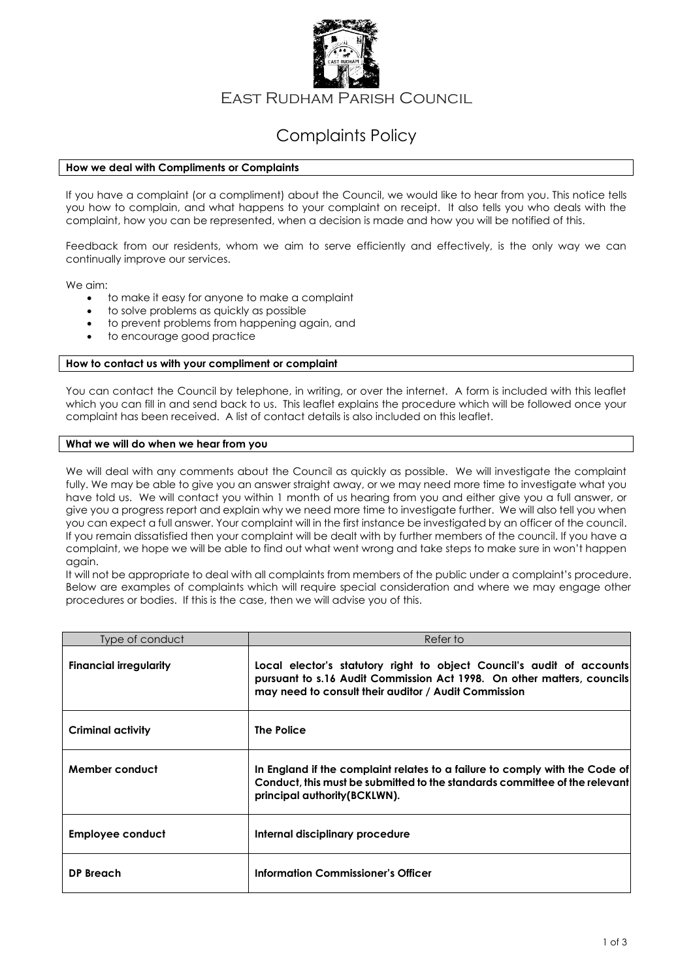

East Rudham Parish Council

# Complaints Policy

# **How we deal with Compliments or Complaints**

If you have a complaint (or a compliment) about the Council, we would like to hear from you. This notice tells you how to complain, and what happens to your complaint on receipt. It also tells you who deals with the complaint, how you can be represented, when a decision is made and how you will be notified of this.

Feedback from our residents, whom we aim to serve efficiently and effectively, is the only way we can continually improve our services.

We aim:

- to make it easy for anyone to make a complaint
- to solve problems as quickly as possible
- to prevent problems from happening again, and
- to encourage good practice

#### **How to contact us with your compliment or complaint**

You can contact the Council by telephone, in writing, or over the internet. A form is included with this leaflet which you can fill in and send back to us. This leaflet explains the procedure which will be followed once your complaint has been received. A list of contact details is also included on this leaflet.

### **What we will do when we hear from you**

We will deal with any comments about the Council as quickly as possible. We will investigate the complaint fully. We may be able to give you an answer straight away, or we may need more time to investigate what you have told us. We will contact you within 1 month of us hearing from you and either give you a full answer, or give you a progress report and explain why we need more time to investigate further. We will also tell you when you can expect a full answer. Your complaint will in the first instance be investigated by an officer of the council. If you remain dissatisfied then your complaint will be dealt with by further members of the council. If you have a complaint, we hope we will be able to find out what went wrong and take steps to make sure in won't happen again.

It will not be appropriate to deal with all complaints from members of the public under a complaint's procedure. Below are examples of complaints which will require special consideration and where we may engage other procedures or bodies. If this is the case, then we will advise you of this.

| Type of conduct               | Refer to                                                                                                                                                                                                |
|-------------------------------|---------------------------------------------------------------------------------------------------------------------------------------------------------------------------------------------------------|
| <b>Financial irregularity</b> | Local elector's statutory right to object Council's audit of accounts<br>pursuant to s.16 Audit Commission Act 1998. On other matters, councils<br>may need to consult their auditor / Audit Commission |
| Criminal activity             | The Police                                                                                                                                                                                              |
| Member conduct                | In England if the complaint relates to a failure to comply with the Code of<br>Conduct, this must be submitted to the standards committee of the relevant<br>principal authority (BCKLWN).              |
| Employee conduct              | Internal disciplinary procedure                                                                                                                                                                         |
| DP Breach                     | <b>Information Commissioner's Officer</b>                                                                                                                                                               |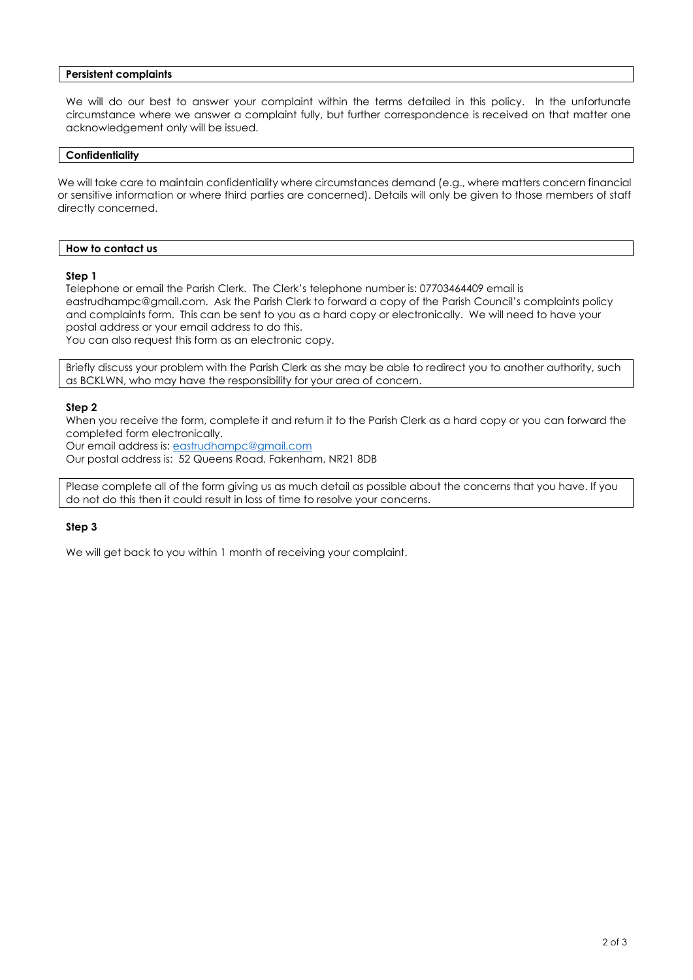# **Persistent complaints**

We will do our best to answer your complaint within the terms detailed in this policy. In the unfortunate circumstance where we answer a complaint fully, but further correspondence is received on that matter one acknowledgement only will be issued.

### **Confidentiality**

We will take care to maintain confidentiality where circumstances demand (e.g., where matters concern financial or sensitive information or where third parties are concerned). Details will only be given to those members of staff directly concerned.

# **How to contact us**

### **Step 1**

Telephone or email the Parish Clerk. The Clerk's telephone number is: 07703464409 email is eastrudhampc@gmail.com. Ask the Parish Clerk to forward a copy of the Parish Council's complaints policy and complaints form. This can be sent to you as a hard copy or electronically. We will need to have your postal address or your email address to do this. You can also request this form as an electronic copy.

Briefly discuss your problem with the Parish Clerk as she may be able to redirect you to another authority, such as BCKLWN, who may have the responsibility for your area of concern.

### **Step 2**

When you receive the form, complete it and return it to the Parish Clerk as a hard copy or you can forward the completed form electronically.

Our email address is: [eastrudhampc@gmail.com](mailto:eastrudhampc@gmail.com) Our postal address is: 52 Queens Road, Fakenham, NR21 8DB

Please complete all of the form giving us as much detail as possible about the concerns that you have. If you do not do this then it could result in loss of time to resolve your concerns.

# **Step 3**

We will get back to you within 1 month of receiving your complaint.